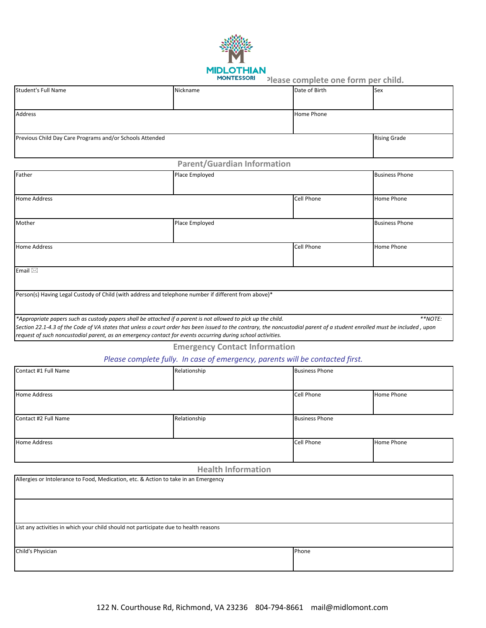

**MONTESSORI** Please complete one form per child.

| <b>Student's Full Name</b>                               | Nickname | Date of Birth       | <b>Sex</b> |
|----------------------------------------------------------|----------|---------------------|------------|
|                                                          |          |                     |            |
| Address                                                  |          | Home Phone          |            |
|                                                          |          |                     |            |
| Previous Child Day Care Programs and/or Schools Attended |          | <b>Rising Grade</b> |            |
|                                                          |          |                     |            |

# **Parent/Guardian Information**

| Father                                                                                                                                                                                                                                                                                   | Place Employed |            | <b>Business Phone</b> |
|------------------------------------------------------------------------------------------------------------------------------------------------------------------------------------------------------------------------------------------------------------------------------------------|----------------|------------|-----------------------|
|                                                                                                                                                                                                                                                                                          |                |            |                       |
| <b>Home Address</b>                                                                                                                                                                                                                                                                      |                | Cell Phone | <b>Home Phone</b>     |
| Mother                                                                                                                                                                                                                                                                                   | Place Employed |            | <b>Business Phone</b> |
| <b>Home Address</b>                                                                                                                                                                                                                                                                      |                | Cell Phone | <b>Home Phone</b>     |
| Email $\boxtimes$                                                                                                                                                                                                                                                                        |                |            |                       |
| Person(s) Having Legal Custody of Child (with address and telephone number if different from above)*                                                                                                                                                                                     |                |            |                       |
| *Appropriate papers such as custody papers shall be attached if a parent is not allowed to pick up the child.                                                                                                                                                                            |                |            | **NOTE:               |
| Section 22.1-4.3 of the Code of VA states that unless a court order has been issued to the contrary, the noncustodial parent of a student enrolled must be included, upon<br>request of such noncustodial parent, as an emergency contact for events occurring during school activities. |                |            |                       |

**Emergency Contact Information**

# *Please complete fully. In case of emergency, parents will be contacted first.*

| Contact #1 Full Name | Relationship | <b>Business Phone</b> |            |
|----------------------|--------------|-----------------------|------------|
|                      |              |                       |            |
| <b>Home Address</b>  |              | <b>Cell Phone</b>     | Home Phone |
|                      |              |                       |            |
| Contact #2 Full Name | Relationship | <b>Business Phone</b> |            |
|                      |              |                       |            |
| <b>Home Address</b>  |              | Cell Phone            | Home Phone |
|                      |              |                       |            |

### **Health Information**

| Allergies or Intolerance to Food, Medication, etc. & Action to take in an Emergency  |       |  |
|--------------------------------------------------------------------------------------|-------|--|
|                                                                                      |       |  |
| List any activities in which your child should not participate due to health reasons |       |  |
| Child's Physician                                                                    | Phone |  |